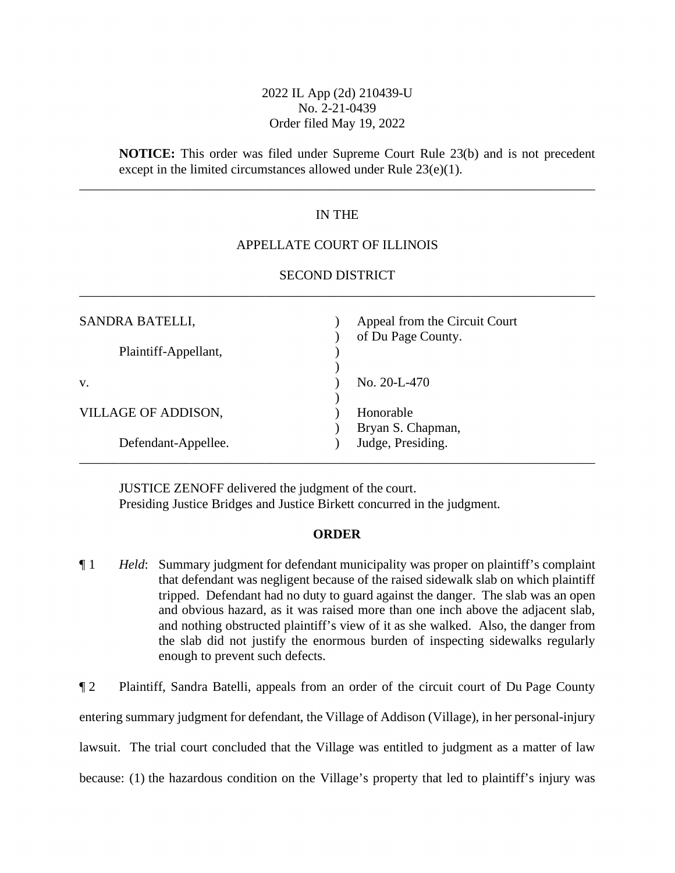# 2022 IL App (2d) 210439-U No. 2-21-0439 Order filed May 19, 2022

**NOTICE:** This order was filed under Supreme Court Rule 23(b) and is not precedent except in the limited circumstances allowed under Rule 23(e)(1).

## IN THE

\_\_\_\_\_\_\_\_\_\_\_\_\_\_\_\_\_\_\_\_\_\_\_\_\_\_\_\_\_\_\_\_\_\_\_\_\_\_\_\_\_\_\_\_\_\_\_\_\_\_\_\_\_\_\_\_\_\_\_\_\_\_\_\_\_\_\_\_\_\_\_\_\_\_\_\_\_\_

## APPELLATE COURT OF ILLINOIS

| <b>SECOND DISTRICT</b> |
|------------------------|
|                        |

| SANDRA BATELLI,      | Appeal from the Circuit Court<br>of Du Page County. |
|----------------------|-----------------------------------------------------|
| Plaintiff-Appellant, |                                                     |
| V.                   | No. 20-L-470                                        |
| VILLAGE OF ADDISON,  | Honorable<br>Bryan S. Chapman,                      |
| Defendant-Appellee.  | Judge, Presiding.                                   |

JUSTICE ZENOFF delivered the judgment of the court. Presiding Justice Bridges and Justice Birkett concurred in the judgment.

#### **ORDER**

¶ 1 *Held*: Summary judgment for defendant municipality was proper on plaintiff's complaint that defendant was negligent because of the raised sidewalk slab on which plaintiff tripped. Defendant had no duty to guard against the danger. The slab was an open and obvious hazard, as it was raised more than one inch above the adjacent slab, and nothing obstructed plaintiff's view of it as she walked. Also, the danger from the slab did not justify the enormous burden of inspecting sidewalks regularly enough to prevent such defects.

¶ 2 Plaintiff, Sandra Batelli, appeals from an order of the circuit court of Du Page County entering summary judgment for defendant, the Village of Addison (Village), in her personal-injury lawsuit. The trial court concluded that the Village was entitled to judgment as a matter of law because: (1) the hazardous condition on the Village's property that led to plaintiff's injury was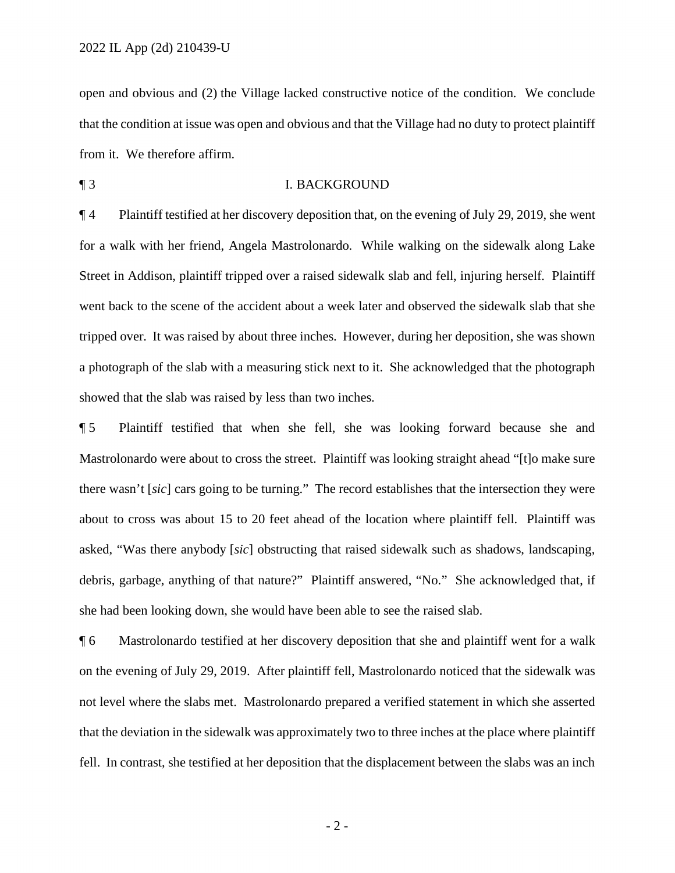open and obvious and (2) the Village lacked constructive notice of the condition. We conclude that the condition at issue was open and obvious and that the Village had no duty to protect plaintiff from it. We therefore affirm.

¶ 3 I. BACKGROUND

¶ 4 Plaintiff testified at her discovery deposition that, on the evening of July 29, 2019, she went for a walk with her friend, Angela Mastrolonardo. While walking on the sidewalk along Lake Street in Addison, plaintiff tripped over a raised sidewalk slab and fell, injuring herself. Plaintiff went back to the scene of the accident about a week later and observed the sidewalk slab that she tripped over. It was raised by about three inches. However, during her deposition, she was shown a photograph of the slab with a measuring stick next to it. She acknowledged that the photograph showed that the slab was raised by less than two inches.

¶ 5 Plaintiff testified that when she fell, she was looking forward because she and Mastrolonardo were about to cross the street. Plaintiff was looking straight ahead "[t]o make sure there wasn't [*sic*] cars going to be turning." The record establishes that the intersection they were about to cross was about 15 to 20 feet ahead of the location where plaintiff fell. Plaintiff was asked, "Was there anybody [*sic*] obstructing that raised sidewalk such as shadows, landscaping, debris, garbage, anything of that nature?" Plaintiff answered, "No." She acknowledged that, if she had been looking down, she would have been able to see the raised slab.

¶ 6 Mastrolonardo testified at her discovery deposition that she and plaintiff went for a walk on the evening of July 29, 2019. After plaintiff fell, Mastrolonardo noticed that the sidewalk was not level where the slabs met. Mastrolonardo prepared a verified statement in which she asserted that the deviation in the sidewalk was approximately two to three inches at the place where plaintiff fell. In contrast, she testified at her deposition that the displacement between the slabs was an inch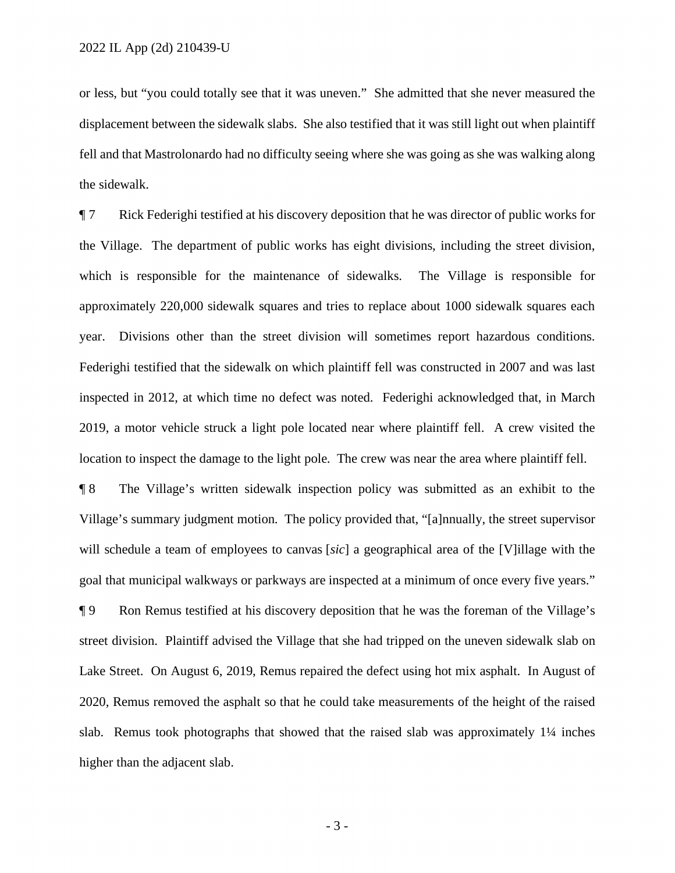or less, but "you could totally see that it was uneven." She admitted that she never measured the displacement between the sidewalk slabs. She also testified that it was still light out when plaintiff fell and that Mastrolonardo had no difficulty seeing where she was going as she was walking along the sidewalk.

¶ 7 Rick Federighi testified at his discovery deposition that he was director of public works for the Village. The department of public works has eight divisions, including the street division, which is responsible for the maintenance of sidewalks. The Village is responsible for approximately 220,000 sidewalk squares and tries to replace about 1000 sidewalk squares each year. Divisions other than the street division will sometimes report hazardous conditions. Federighi testified that the sidewalk on which plaintiff fell was constructed in 2007 and was last inspected in 2012, at which time no defect was noted. Federighi acknowledged that, in March 2019, a motor vehicle struck a light pole located near where plaintiff fell. A crew visited the location to inspect the damage to the light pole. The crew was near the area where plaintiff fell.

¶ 8 The Village's written sidewalk inspection policy was submitted as an exhibit to the Village's summary judgment motion. The policy provided that, "[a]nnually, the street supervisor will schedule a team of employees to canvas [*sic*] a geographical area of the [V]illage with the goal that municipal walkways or parkways are inspected at a minimum of once every five years."

¶ 9 Ron Remus testified at his discovery deposition that he was the foreman of the Village's street division. Plaintiff advised the Village that she had tripped on the uneven sidewalk slab on Lake Street. On August 6, 2019, Remus repaired the defect using hot mix asphalt. In August of 2020, Remus removed the asphalt so that he could take measurements of the height of the raised slab. Remus took photographs that showed that the raised slab was approximately  $1\frac{1}{4}$  inches higher than the adjacent slab.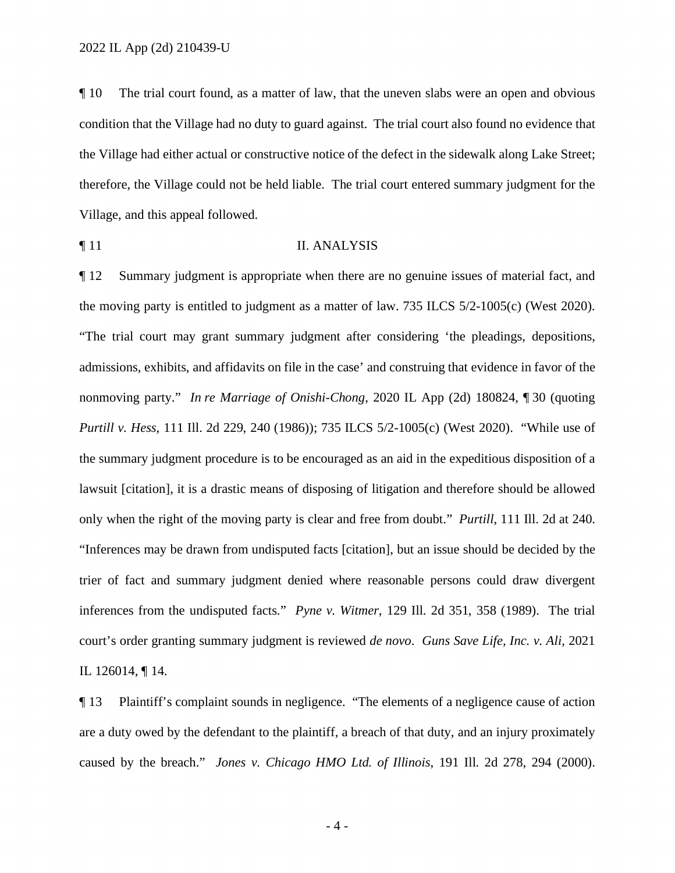¶ 10 The trial court found, as a matter of law, that the uneven slabs were an open and obvious condition that the Village had no duty to guard against. The trial court also found no evidence that the Village had either actual or constructive notice of the defect in the sidewalk along Lake Street; therefore, the Village could not be held liable. The trial court entered summary judgment for the Village, and this appeal followed.

 $\blacksquare$  **11** II. ANALYSIS

¶ 12 Summary judgment is appropriate when there are no genuine issues of material fact, and the moving party is entitled to judgment as a matter of law. 735 ILCS 5/2-1005(c) (West 2020). "The trial court may grant summary judgment after considering 'the pleadings, depositions, admissions, exhibits, and affidavits on file in the case' and construing that evidence in favor of the nonmoving party." *In re Marriage of Onishi-Chong*, 2020 IL App (2d) 180824, ¶ 30 (quoting *Purtill v. Hess*, 111 Ill. 2d 229, 240 (1986)); 735 ILCS 5/2-1005(c) (West 2020). "While use of the summary judgment procedure is to be encouraged as an aid in the expeditious disposition of a lawsuit [citation], it is a drastic means of disposing of litigation and therefore should be allowed only when the right of the moving party is clear and free from doubt." *Purtill*, 111 Ill. 2d at 240. "Inferences may be drawn from undisputed facts [citation], but an issue should be decided by the trier of fact and summary judgment denied where reasonable persons could draw divergent inferences from the undisputed facts." *Pyne v. Witmer*, 129 Ill. 2d 351, 358 (1989). The trial court's order granting summary judgment is reviewed *de novo*. *Guns Save Life, Inc. v. Ali*, 2021 IL 126014, ¶ 14.

¶ 13 Plaintiff's complaint sounds in negligence. "The elements of a negligence cause of action are a duty owed by the defendant to the plaintiff, a breach of that duty, and an injury proximately caused by the breach." *Jones v. Chicago HMO Ltd. of Illinois*, 191 Ill. 2d 278, 294 (2000).

- 4 -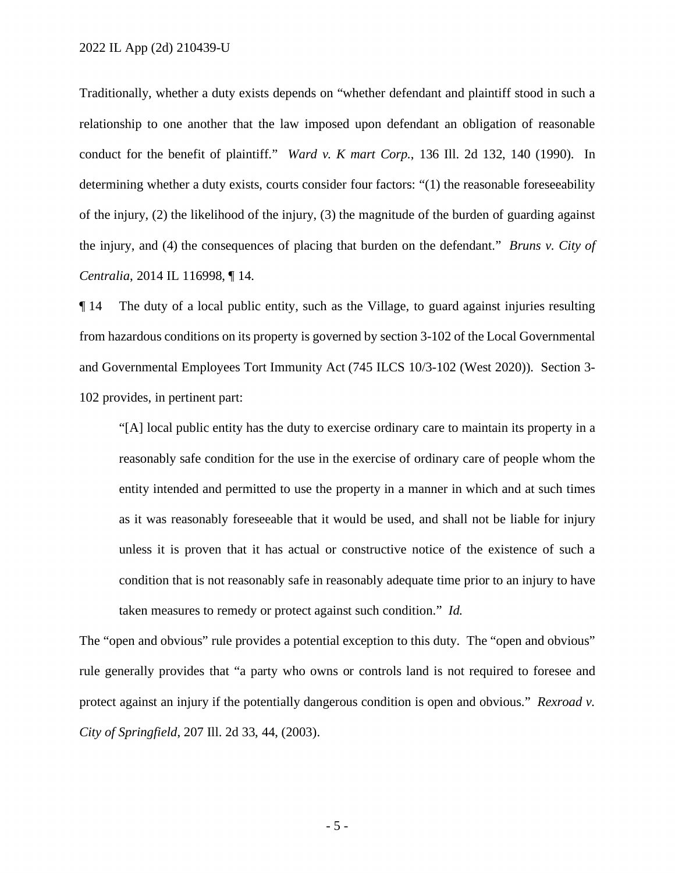Traditionally, whether a duty exists depends on "whether defendant and plaintiff stood in such a relationship to one another that the law imposed upon defendant an obligation of reasonable conduct for the benefit of plaintiff." *Ward v. K mart Corp.*, 136 Ill. 2d 132, 140 (1990). In determining whether a duty exists, courts consider four factors: "(1) the reasonable foreseeability of the injury, (2) the likelihood of the injury, (3) the magnitude of the burden of guarding against the injury, and (4) the consequences of placing that burden on the defendant." *Bruns v. City of Centralia*, 2014 IL 116998, ¶ 14.

¶ 14 The duty of a local public entity, such as the Village, to guard against injuries resulting from hazardous conditions on its property is governed by section 3-102 of the Local Governmental and Governmental Employees Tort Immunity Act (745 ILCS 10/3-102 (West 2020)). Section 3- 102 provides, in pertinent part:

"[A] local public entity has the duty to exercise ordinary care to maintain its property in a reasonably safe condition for the use in the exercise of ordinary care of people whom the entity intended and permitted to use the property in a manner in which and at such times as it was reasonably foreseeable that it would be used, and shall not be liable for injury unless it is proven that it has actual or constructive notice of the existence of such a condition that is not reasonably safe in reasonably adequate time prior to an injury to have taken measures to remedy or protect against such condition." *Id.*

The "open and obvious" rule provides a potential exception to this duty. The "open and obvious" rule generally provides that "a party who owns or controls land is not required to foresee and protect against an injury if the potentially dangerous condition is open and obvious." *Rexroad v. City of Springfield*, 207 Ill. 2d 33, 44, (2003).

- 5 -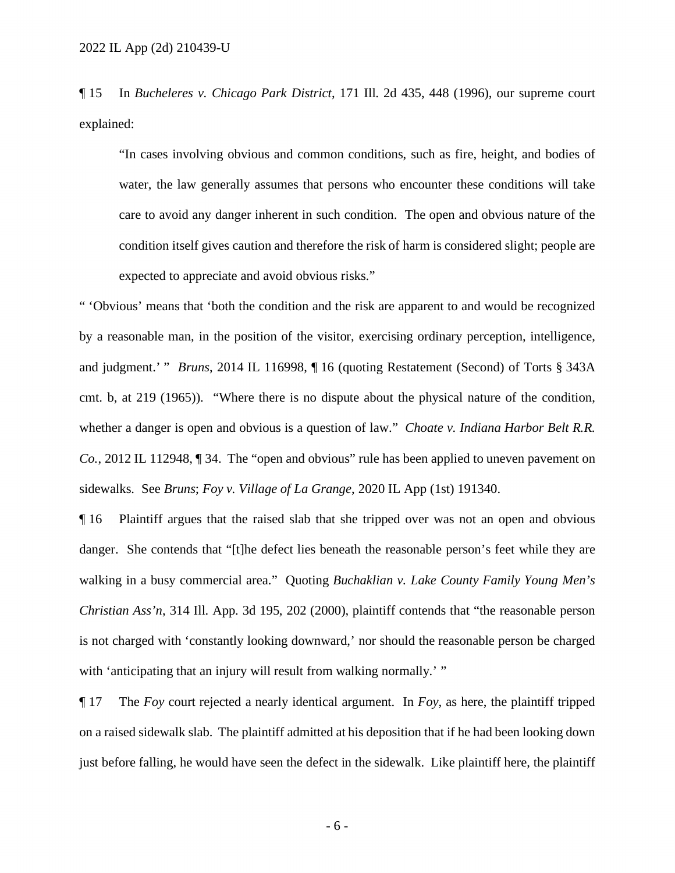¶ 15 In *Bucheleres v. Chicago Park District*, 171 Ill. 2d 435, 448 (1996), our supreme court explained:

"In cases involving obvious and common conditions, such as fire, height, and bodies of water, the law generally assumes that persons who encounter these conditions will take care to avoid any danger inherent in such condition. The open and obvious nature of the condition itself gives caution and therefore the risk of harm is considered slight; people are expected to appreciate and avoid obvious risks."

" 'Obvious' means that 'both the condition and the risk are apparent to and would be recognized by a reasonable man, in the position of the visitor, exercising ordinary perception, intelligence, and judgment.' " *Bruns*, 2014 IL 116998, ¶ 16 (quoting Restatement (Second) of Torts § 343A cmt. b, at 219 (1965)). "Where there is no dispute about the physical nature of the condition, whether a danger is open and obvious is a question of law." *Choate v. Indiana Harbor Belt R.R. Co.*, 2012 IL 112948,  $\P$  34. The "open and obvious" rule has been applied to uneven pavement on sidewalks. See *Bruns*; *Foy v. Village of La Grange*, 2020 IL App (1st) 191340.

¶ 16 Plaintiff argues that the raised slab that she tripped over was not an open and obvious danger. She contends that "[t]he defect lies beneath the reasonable person's feet while they are walking in a busy commercial area." Quoting *Buchaklian v. Lake County Family Young Men's Christian Ass'n*, 314 Ill. App. 3d 195, 202 (2000), plaintiff contends that "the reasonable person is not charged with 'constantly looking downward,' nor should the reasonable person be charged with 'anticipating that an injury will result from walking normally.' "

¶ 17 The *Foy* court rejected a nearly identical argument. In *Foy*, as here, the plaintiff tripped on a raised sidewalk slab. The plaintiff admitted at his deposition that if he had been looking down just before falling, he would have seen the defect in the sidewalk. Like plaintiff here, the plaintiff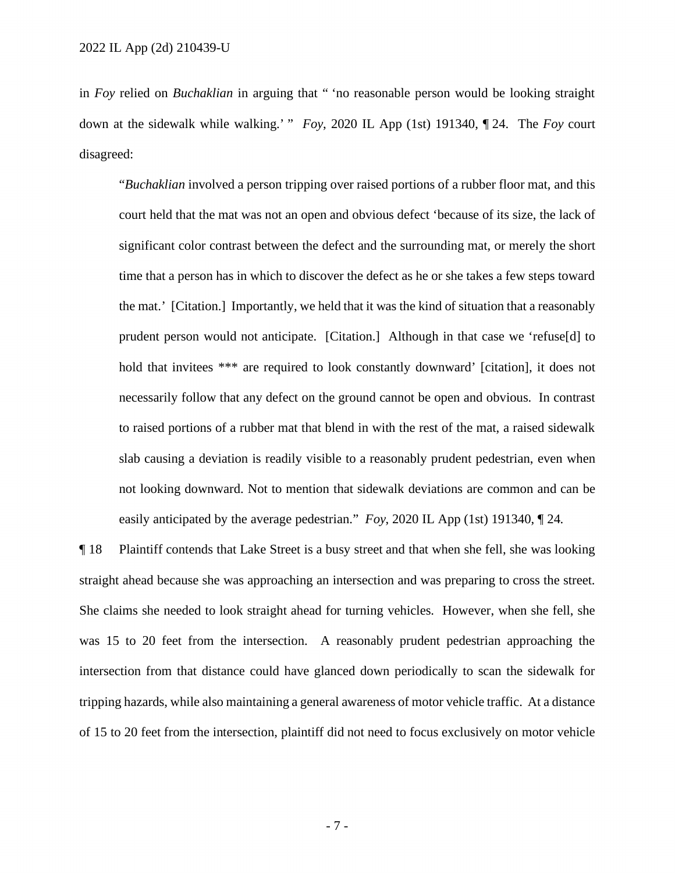in *Foy* relied on *Buchaklian* in arguing that " 'no reasonable person would be looking straight down at the sidewalk while walking.' " *Foy*, 2020 IL App (1st) 191340, ¶ 24. The *Foy* court disagreed:

"*Buchaklian* involved a person tripping over raised portions of a rubber floor mat, and this court held that the mat was not an open and obvious defect 'because of its size, the lack of significant color contrast between the defect and the surrounding mat, or merely the short time that a person has in which to discover the defect as he or she takes a few steps toward the mat.' [Citation.] Importantly, we held that it was the kind of situation that a reasonably prudent person would not anticipate. [Citation.] Although in that case we 'refuse[d] to hold that invitees \*\*\* are required to look constantly downward' [citation], it does not necessarily follow that any defect on the ground cannot be open and obvious. In contrast to raised portions of a rubber mat that blend in with the rest of the mat, a raised sidewalk slab causing a deviation is readily visible to a reasonably prudent pedestrian, even when not looking downward. Not to mention that sidewalk deviations are common and can be easily anticipated by the average pedestrian." *Foy*, 2020 IL App (1st) 191340, ¶ 24.

¶ 18 Plaintiff contends that Lake Street is a busy street and that when she fell, she was looking straight ahead because she was approaching an intersection and was preparing to cross the street. She claims she needed to look straight ahead for turning vehicles. However, when she fell, she was 15 to 20 feet from the intersection. A reasonably prudent pedestrian approaching the intersection from that distance could have glanced down periodically to scan the sidewalk for tripping hazards, while also maintaining a general awareness of motor vehicle traffic. At a distance of 15 to 20 feet from the intersection, plaintiff did not need to focus exclusively on motor vehicle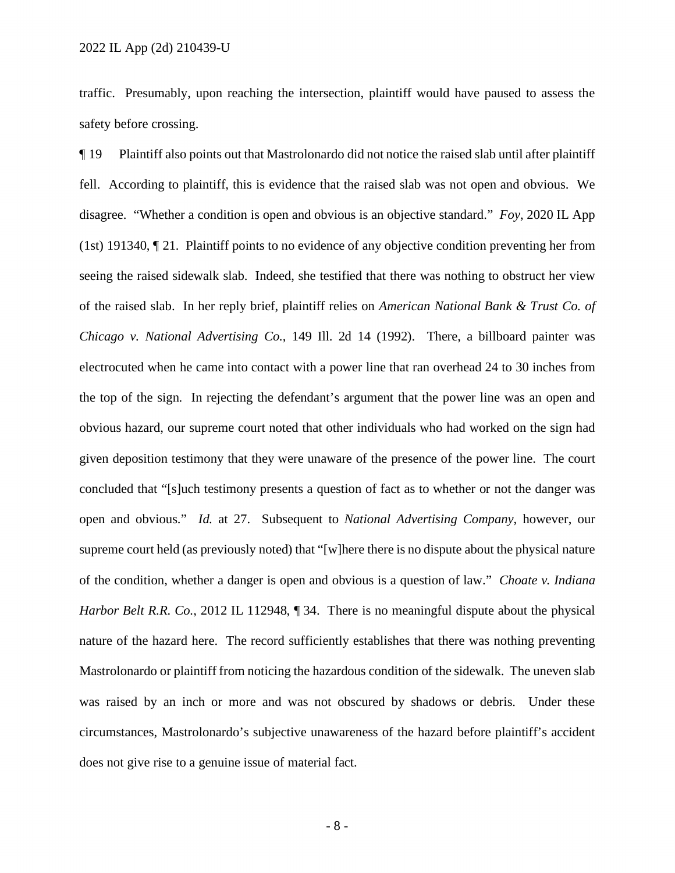traffic. Presumably, upon reaching the intersection, plaintiff would have paused to assess the safety before crossing.

¶ 19 Plaintiff also points out that Mastrolonardo did not notice the raised slab until after plaintiff fell. According to plaintiff, this is evidence that the raised slab was not open and obvious. We disagree. "Whether a condition is open and obvious is an objective standard." *Foy*, 2020 IL App (1st) 191340, ¶ 21. Plaintiff points to no evidence of any objective condition preventing her from seeing the raised sidewalk slab. Indeed, she testified that there was nothing to obstruct her view of the raised slab. In her reply brief, plaintiff relies on *American National Bank & Trust Co. of Chicago v. National Advertising Co.*, 149 Ill. 2d 14 (1992). There, a billboard painter was electrocuted when he came into contact with a power line that ran overhead 24 to 30 inches from the top of the sign. In rejecting the defendant's argument that the power line was an open and obvious hazard, our supreme court noted that other individuals who had worked on the sign had given deposition testimony that they were unaware of the presence of the power line. The court concluded that "[s]uch testimony presents a question of fact as to whether or not the danger was open and obvious." *Id.* at 27. Subsequent to *National Advertising Company*, however, our supreme court held (as previously noted) that "[w]here there is no dispute about the physical nature of the condition, whether a danger is open and obvious is a question of law." *Choate v. Indiana Harbor Belt R.R. Co.*, 2012 IL 112948,  $\parallel$  34. There is no meaningful dispute about the physical nature of the hazard here. The record sufficiently establishes that there was nothing preventing Mastrolonardo or plaintiff from noticing the hazardous condition of the sidewalk. The uneven slab was raised by an inch or more and was not obscured by shadows or debris. Under these circumstances, Mastrolonardo's subjective unawareness of the hazard before plaintiff's accident does not give rise to a genuine issue of material fact.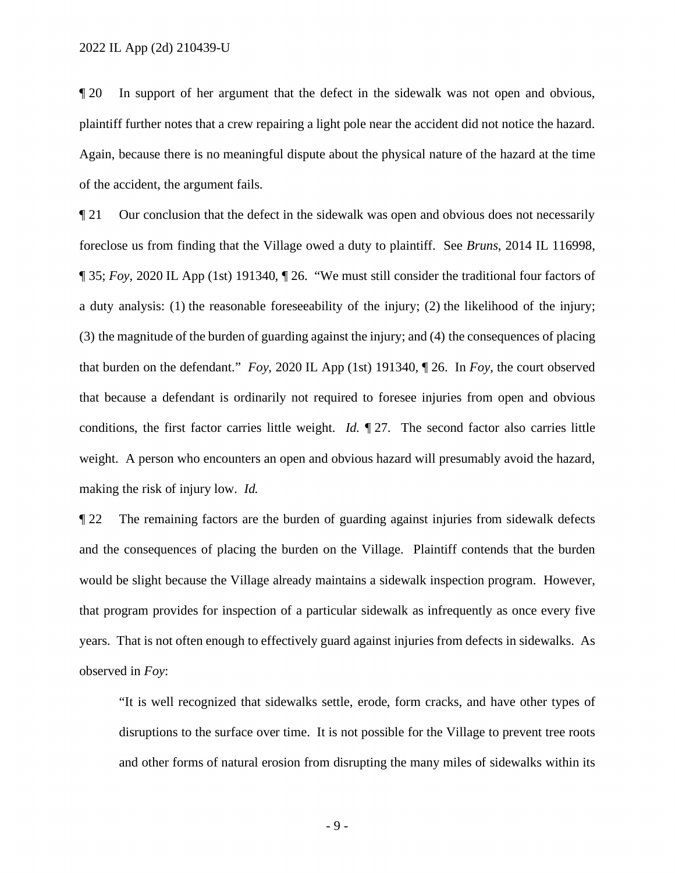¶ 20 In support of her argument that the defect in the sidewalk was not open and obvious, plaintiff further notes that a crew repairing a light pole near the accident did not notice the hazard. Again, because there is no meaningful dispute about the physical nature of the hazard at the time of the accident, the argument fails.

¶ 21 Our conclusion that the defect in the sidewalk was open and obvious does not necessarily foreclose us from finding that the Village owed a duty to plaintiff. See *Bruns*, 2014 IL 116998, ¶ 35; *Foy*, 2020 IL App (1st) 191340, ¶ 26. "We must still consider the traditional four factors of a duty analysis: (1) the reasonable foreseeability of the injury; (2) the likelihood of the injury; (3) the magnitude of the burden of guarding against the injury; and (4) the consequences of placing that burden on the defendant." *Foy*, 2020 IL App (1st) 191340, ¶ 26. In *Foy*, the court observed that because a defendant is ordinarily not required to foresee injuries from open and obvious conditions, the first factor carries little weight. *Id.* ¶ 27. The second factor also carries little weight. A person who encounters an open and obvious hazard will presumably avoid the hazard, making the risk of injury low. *Id.*

¶ 22 The remaining factors are the burden of guarding against injuries from sidewalk defects and the consequences of placing the burden on the Village. Plaintiff contends that the burden would be slight because the Village already maintains a sidewalk inspection program. However, that program provides for inspection of a particular sidewalk as infrequently as once every five years. That is not often enough to effectively guard against injuries from defects in sidewalks. As observed in *Foy*:

"It is well recognized that sidewalks settle, erode, form cracks, and have other types of disruptions to the surface over time. It is not possible for the Village to prevent tree roots and other forms of natural erosion from disrupting the many miles of sidewalks within its